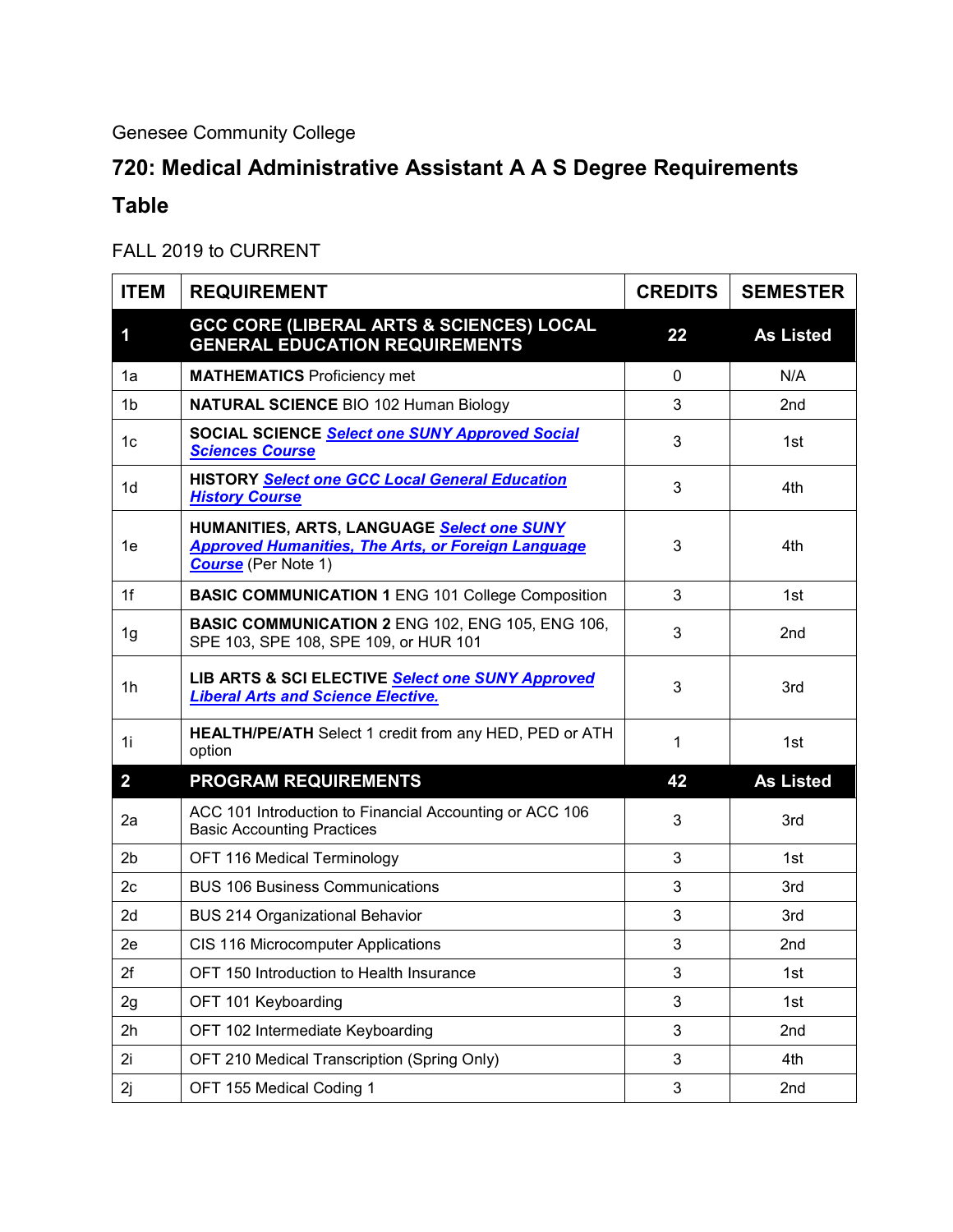## Genesee Community College

## **720: Medical Administrative Assistant A A S Degree Requirements Table**

## FALL 2019 to CURRENT

| <b>ITEM</b>    | <b>REQUIREMENT</b>                                                                                                                    | <b>CREDITS</b> | <b>SEMESTER</b>  |
|----------------|---------------------------------------------------------------------------------------------------------------------------------------|----------------|------------------|
| 1              | <b>GCC CORE (LIBERAL ARTS &amp; SCIENCES) LOCAL</b><br><b>GENERAL EDUCATION REQUIREMENTS</b>                                          | 22             | <b>As Listed</b> |
| 1a             | <b>MATHEMATICS Proficiency met</b>                                                                                                    | $\mathbf 0$    | N/A              |
| 1 <sub>b</sub> | <b>NATURAL SCIENCE BIO 102 Human Biology</b>                                                                                          | 3              | 2nd              |
| 1 <sub>c</sub> | SOCIAL SCIENCE Select one SUNY Approved Social<br><b>Sciences Course</b>                                                              | 3              | 1st              |
| 1d             | <b>HISTORY Select one GCC Local General Education</b><br><b>History Course</b>                                                        | 3              | 4th              |
| 1e             | HUMANITIES, ARTS, LANGUAGE Select one SUNY<br><b>Approved Humanities, The Arts, or Foreign Language</b><br><b>Course</b> (Per Note 1) | 3              | 4th              |
| 1f             | <b>BASIC COMMUNICATION 1 ENG 101 College Composition</b>                                                                              | 3              | 1st              |
| 1g             | <b>BASIC COMMUNICATION 2 ENG 102, ENG 105, ENG 106,</b><br>SPE 103, SPE 108, SPE 109, or HUR 101                                      | 3              | 2nd              |
| 1h             | LIB ARTS & SCI ELECTIVE Select one SUNY Approved<br><b>Liberal Arts and Science Elective.</b>                                         | 3              | 3rd              |
| 1i             | <b>HEALTH/PE/ATH</b> Select 1 credit from any HED, PED or ATH<br>option                                                               | 1              | 1st              |
| $\overline{2}$ | <b>PROGRAM REQUIREMENTS</b>                                                                                                           | 42             | <b>As Listed</b> |
| 2a             | ACC 101 Introduction to Financial Accounting or ACC 106<br><b>Basic Accounting Practices</b>                                          | 3              | 3rd              |
| 2 <sub>b</sub> | OFT 116 Medical Terminology                                                                                                           | 3              | 1st              |
| 2c             | <b>BUS 106 Business Communications</b>                                                                                                | 3              | 3rd              |
| 2d             | <b>BUS 214 Organizational Behavior</b>                                                                                                | 3              | 3rd              |
| 2e             | CIS 116 Microcomputer Applications                                                                                                    | 3              | 2nd              |
| 2f             | OFT 150 Introduction to Health Insurance                                                                                              | 3              | 1st              |
| 2g             | OFT 101 Keyboarding                                                                                                                   | 3              | 1st              |
| 2h             | OFT 102 Intermediate Keyboarding                                                                                                      | 3              | 2nd              |
| 2i             | OFT 210 Medical Transcription (Spring Only)                                                                                           | 3              | 4th              |
| 2j             | OFT 155 Medical Coding 1                                                                                                              | 3              | 2nd              |